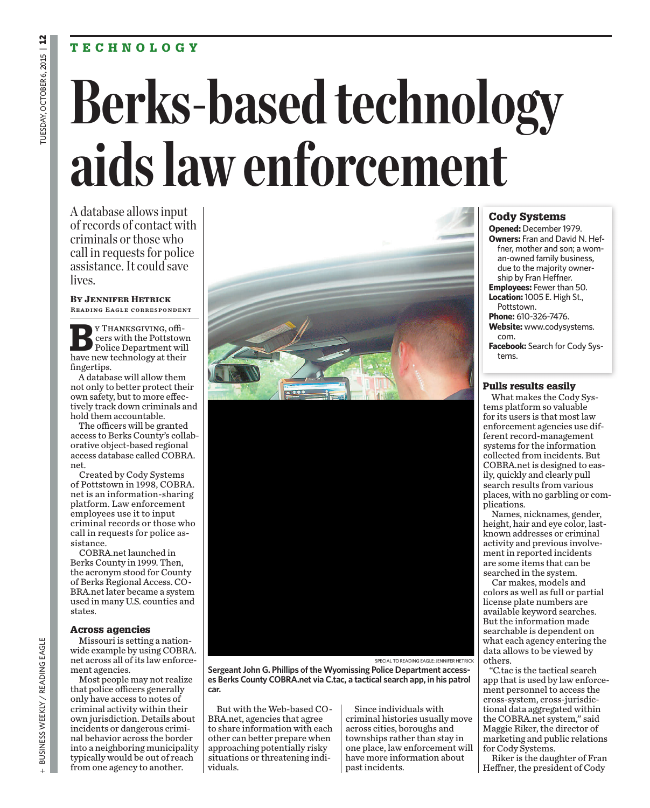# **TECHNOLOGY**

# **Berks-based technology aids law enforcement**

A database allows input of records of contact with criminals or those who call in requests for police assistance. It could save lives.

**By Jennifer Hetrick** Reading Eagle correspondent

**B**Y THANKSGIVING, officers with the Pottstow cers with the Pottstown Police Department will have new technology at their fingertips.

A database will allow them not only to better protect their own safety, but to more effectively track down criminals and hold them accountable.

The officers will be granted access to Berks County's collaborative object-based regional access database called COBRA. net.

Created by Cody Systems of Pottstown in 1998, COBRA. net is an information-sharing platform. Law enforcement employees use it to input criminal records or those who call in requests for police assistance.

COBRA.net launched in Berks County in 1999. Then, the acronym stood for County of Berks Regional Access. CO-BRA.net later became a system used in many U.S. counties and states.

#### **Across agencies**

Missouri is setting a nationwide example by using COBRA. net across all of its law enforcement agencies.

Most people may not realize that police officers generally only have access to notes of criminal activity within their own jurisdiction. Details about incidents or dangerous criminal behavior across the border into a neighboring municipality typically would be out of reach from one agency to another.

SPECIAL TO READING EAGLE: JENNIFER HETRICK

**Sergeant John G. Phillips of the Wyomissing Police Department accesses Berks County COBRA.net via C.tac, a tactical search app, in his patrol car.**

But with the Web-based CO-BRA.net, agencies that agree to share information with each other can better prepare when approaching potentially risky situations or threatening individuals.

Since individuals with criminal histories usually move across cities, boroughs and townships rather than stay in one place, law enforcement will have more information about past incidents.

# **Cody Systems**

**Opened:** December 1979. **Owners:** Fran and David N. Heffner, mother and son; a woman-owned family business, due to the majority ownership by Fran Heffner. **Employees:** Fewer than 50. **Location:** 1005 E. High St.,

Pottstown. **Phone:** 610-326-7476.

**Website:** www.codysystems. com.

**Facebook:** Search for Cody Systems.

#### **Pulls results easily**

What makes the Cody Systems platform so valuable for its users is that most law enforcement agencies use different record-management systems for the information collected from incidents. But COBRA.net is designed to easily, quickly and clearly pull search results from various places, with no garbling or complications.

Names, nicknames, gender, height, hair and eye color, lastknown addresses or criminal activity and previous involvement in reported incidents are some items that can be searched in the system.

Car makes, models and colors as well as full or partial license plate numbers are available keyword searches. But the information made searchable is dependent on what each agency entering the data allows to be viewed by others.

"C.tac is the tactical search app that is used by law enforcement personnel to access the cross-system, cross-jurisdictional data aggregated within the COBRA.net system," said Maggie Riker, the director of marketing and public relations for Cody Systems.

Riker is the daughter of Fran Heffner, the president of Cody